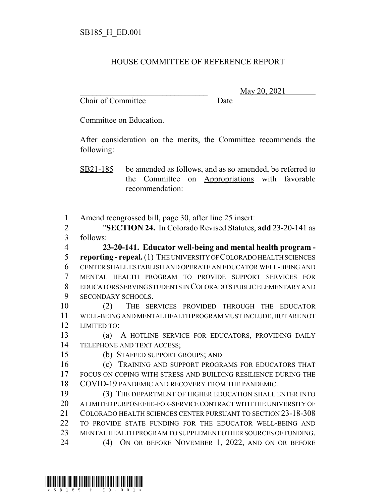## HOUSE COMMITTEE OF REFERENCE REPORT

Chair of Committee Date

\_\_\_\_\_\_\_\_\_\_\_\_\_\_\_\_\_\_\_\_\_\_\_\_\_\_\_\_\_\_\_ May 20, 2021

Committee on Education.

After consideration on the merits, the Committee recommends the following:

SB21-185 be amended as follows, and as so amended, be referred to the Committee on Appropriations with favorable recommendation:

Amend reengrossed bill, page 30, after line 25 insert:

 "**SECTION 24.** In Colorado Revised Statutes, **add** 23-20-141 as follows:

 **23-20-141. Educator well-being and mental health program - reporting - repeal.** (1) THE UNIVERSITY OF COLORADO HEALTH SCIENCES CENTER SHALL ESTABLISH AND OPERATE AN EDUCATOR WELL-BEING AND MENTAL HEALTH PROGRAM TO PROVIDE SUPPORT SERVICES FOR EDUCATORS SERVING STUDENTS IN COLORADO'S PUBLIC ELEMENTARY AND SECONDARY SCHOOLS.

 (2) THE SERVICES PROVIDED THROUGH THE EDUCATOR WELL-BEING AND MENTAL HEALTH PROGRAM MUST INCLUDE, BUT ARE NOT LIMITED TO:

 (a) A HOTLINE SERVICE FOR EDUCATORS, PROVIDING DAILY TELEPHONE AND TEXT ACCESS;

(b) STAFFED SUPPORT GROUPS; AND

 (c) TRAINING AND SUPPORT PROGRAMS FOR EDUCATORS THAT FOCUS ON COPING WITH STRESS AND BUILDING RESILIENCE DURING THE COVID-19 PANDEMIC AND RECOVERY FROM THE PANDEMIC.

 (3) THE DEPARTMENT OF HIGHER EDUCATION SHALL ENTER INTO A LIMITED PURPOSE FEE-FOR-SERVICE CONTRACT WITH THE UNIVERSITY OF COLORADO HEALTH SCIENCES CENTER PURSUANT TO SECTION 23-18-308 TO PROVIDE STATE FUNDING FOR THE EDUCATOR WELL-BEING AND MENTAL HEALTH PROGRAM TO SUPPLEMENT OTHER SOURCES OF FUNDING. (4) ON OR BEFORE NOVEMBER 1, 2022, AND ON OR BEFORE